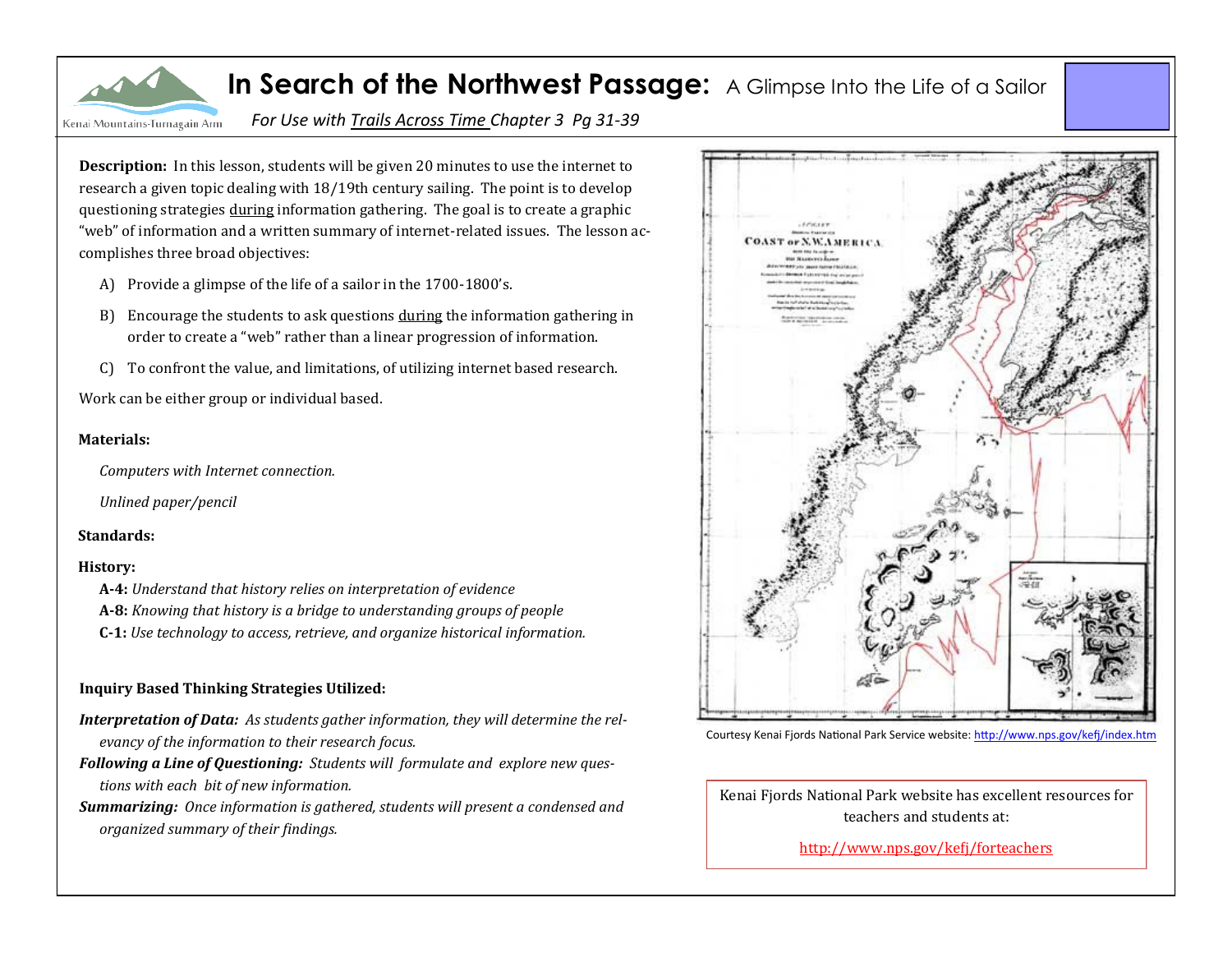

*For Use with Trails Across Time Chapter 3 Pg 31-39*

**Description:** In this lesson, students will be given 20 minutes to use the internet to research a given topic dealing with 18/19th century sailing. The point is to develop questioning strategies during information gathering. The goal is to create a graphic "web" of information and a written summary of internet-related issues. The lesson accomplishes three broad objectives:

- A) Provide a glimpse of the life of a sailor in the 1700-1800's.
- B) Encourage the students to ask questions during the information gathering in order to create a "web" rather than a linear progression of information.
- C) To confront the value, and limitations, of utilizing internet based research.

Work can be either group or individual based.

## **Materials:**

*Computers with Internet connection.*

*Unlined paper/pencil*

## **Standards:**

## **History:**

- **A-4:** *Understand that history relies on interpretation of evidence*
- **A-8:** *Knowing that history is a bridge to understanding groups of people*
- **C-1:** *Use technology to access, retrieve, and organize historical information.*

## **Inquiry Based Thinking Strategies Utilized:**

- *Interpretation of Data: As students gather information, they will determine the relevancy of the information to their research focus.*
- *Following a Line of Questioning: Students will formulate and explore new questions with each bit of new information.*
- *Summarizing: Once information is gathered, students will present a condensed and organized summary of their findings.*



Courtesy Kenai Fjords National Park Service website: http://www.nps.gov/kefi/index.htm

Kenai Fiords National Park website has excellent resources for teachers and students at:

[http://www.nps.gov/kefj/forteachers](http://www.nps.gov/kefj/forteachers/index2.htm)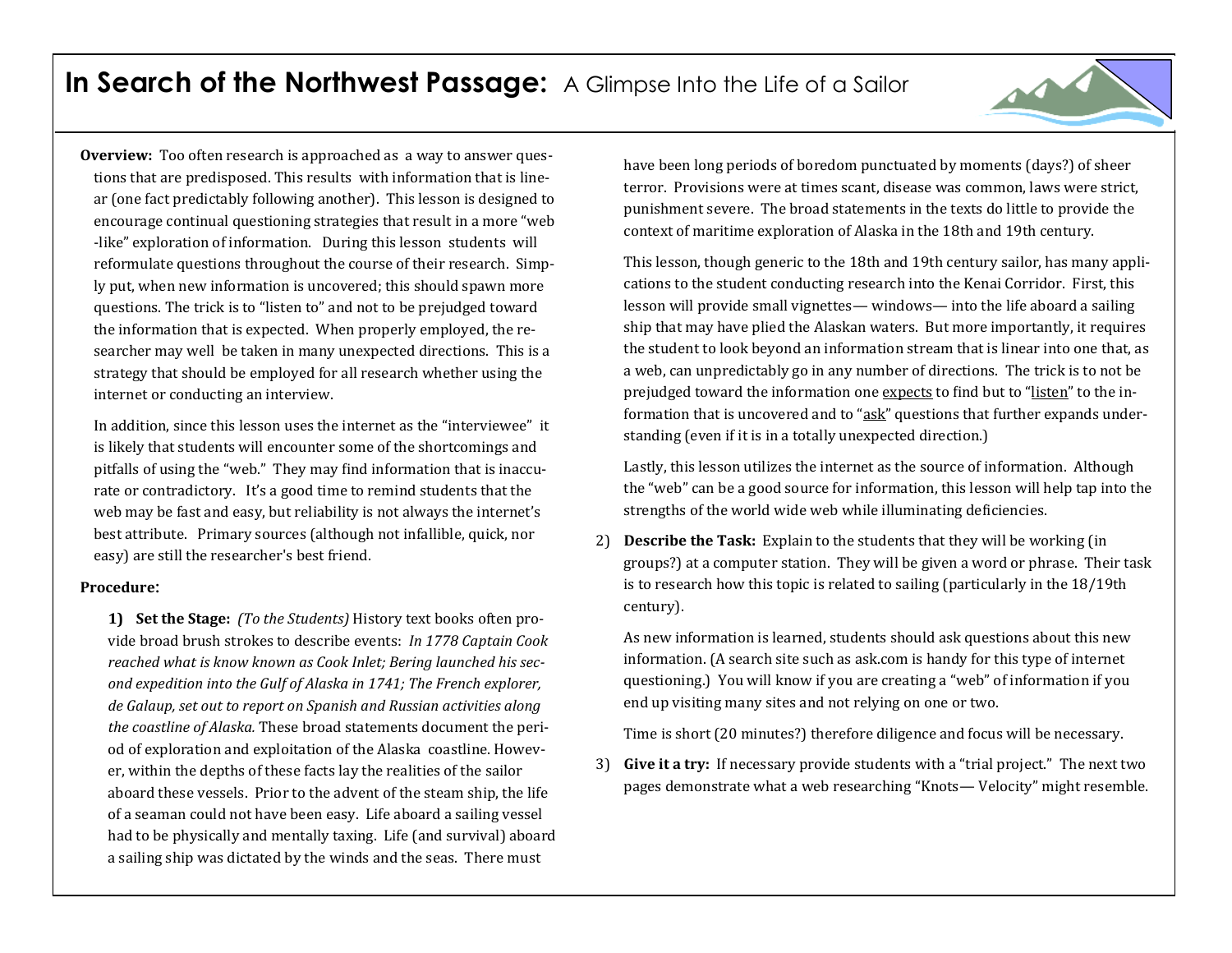

In addition, since this lesson uses the internet as the "interviewee" it is likely that students will encounter some of the shortcomings and pitfalls of using the "web." They may find information that is inaccurate or contradictory. It's a good time to remind students that the web may be fast and easy, but reliability is not always the internet's best attribute. Primary sources (although not infallible, quick, nor easy) are still the researcher's best friend.

#### **Procedure:**

**1) Set the Stage:** *(To the Students)* History text books often provide broad brush strokes to describe events: *In 1778 Captain Cook reached what is know known as Cook Inlet; Bering launched his second expedition into the Gulf of Alaska in 1741; The French explorer, de Galaup, set out to report on Spanish and Russian activities along the coastline of Alaska.* These broad statements document the period of exploration and exploitation of the Alaska coastline. However, within the depths of these facts lay the realities of the sailor aboard these vessels. Prior to the advent of the steam ship, the life of a seaman could not have been easy. Life aboard a sailing vessel had to be physically and mentally taxing. Life (and survival) aboard a sailing ship was dictated by the winds and the seas. There must

have been long periods of boredom punctuated by moments (days?) of sheer terror. Provisions were at times scant, disease was common, laws were strict, punishment severe. The broad statements in the texts do little to provide the context of maritime exploration of Alaska in the 18th and 19th century.

This lesson, though generic to the 18th and 19th century sailor, has many applications to the student conducting research into the Kenai Corridor. First, this lesson will provide small vignettes— windows— into the life aboard a sailing ship that may have plied the Alaskan waters. But more importantly, it requires the student to look beyond an information stream that is linear into one that, as a web, can unpredictably go in any number of directions. The trick is to not be prejudged toward the information one expects to find but to "listen" to the information that is uncovered and to "ask" questions that further expands understanding (even if it is in a totally unexpected direction.)

Lastly, this lesson utilizes the internet as the source of information. Although the "web" can be a good source for information, this lesson will help tap into the strengths of the world wide web while illuminating deficiencies.

2) **Describe the Task:** Explain to the students that they will be working (in groups?) at a computer station. They will be given a word or phrase. Their task is to research how this topic is related to sailing (particularly in the 18/19th century).

As new information is learned, students should ask questions about this new information. (A search site such as ask.com is handy for this type of internet questioning.) You will know if you are creating a "web" of information if you end up visiting many sites and not relying on one or two.

Time is short (20 minutes?) therefore diligence and focus will be necessary.

3) **Give it a try:** If necessary provide students with a "trial project." The next two pages demonstrate what a web researching "Knots— Velocity" might resemble.

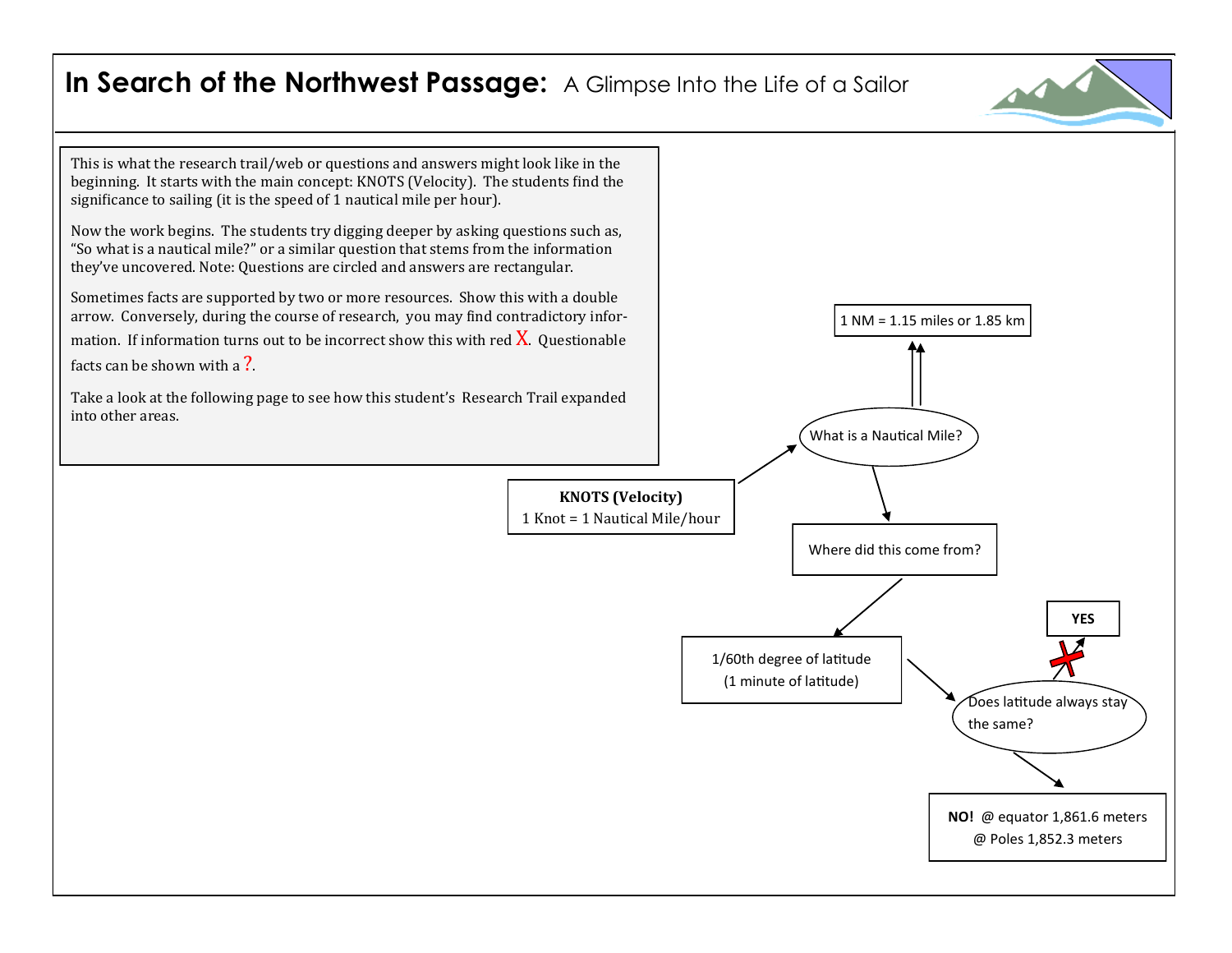

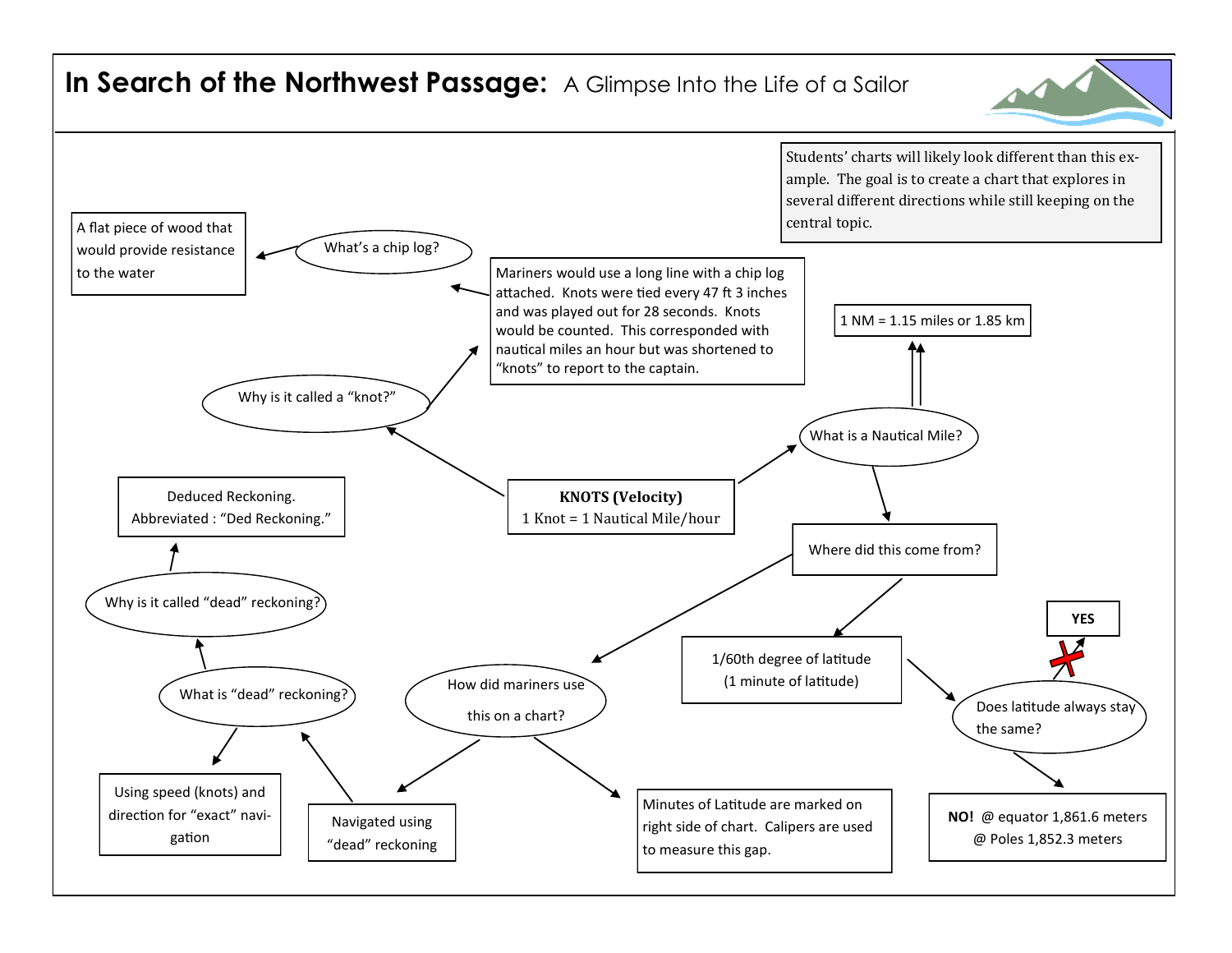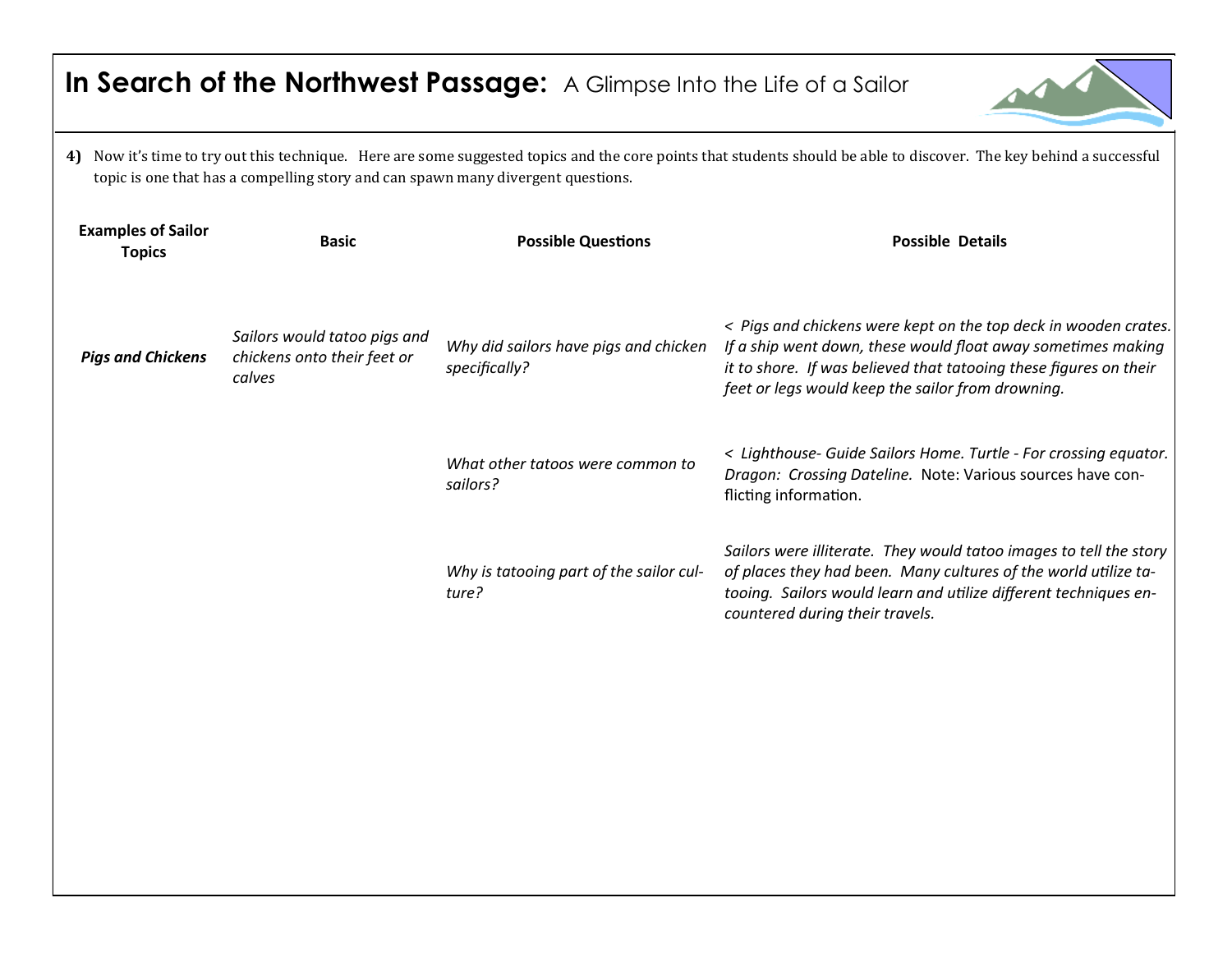| In Search of the Northwest Passage: A Glimpse Into the Life of a Sailor                                                                                                                                                                                     |                                                                       |                                                        |                                                                                                                                                                                                                                                           |  |  |  |
|-------------------------------------------------------------------------------------------------------------------------------------------------------------------------------------------------------------------------------------------------------------|-----------------------------------------------------------------------|--------------------------------------------------------|-----------------------------------------------------------------------------------------------------------------------------------------------------------------------------------------------------------------------------------------------------------|--|--|--|
| Now it's time to try out this technique. Here are some suggested topics and the core points that students should be able to discover. The key behind a successful<br>4)<br>topic is one that has a compelling story and can spawn many divergent questions. |                                                                       |                                                        |                                                                                                                                                                                                                                                           |  |  |  |
| <b>Examples of Sailor</b><br><b>Topics</b>                                                                                                                                                                                                                  | <b>Basic</b>                                                          | <b>Possible Questions</b>                              | <b>Possible Details</b>                                                                                                                                                                                                                                   |  |  |  |
| <b>Pigs and Chickens</b>                                                                                                                                                                                                                                    | Sailors would tatoo pigs and<br>chickens onto their feet or<br>calves | Why did sailors have pigs and chicken<br>specifically? | < Pigs and chickens were kept on the top deck in wooden crates.<br>If a ship went down, these would float away sometimes making<br>it to shore. If was believed that tatooing these figures on their<br>feet or legs would keep the sailor from drowning. |  |  |  |
|                                                                                                                                                                                                                                                             |                                                                       | What other tatoos were common to<br>sailors?           | < Lighthouse- Guide Sailors Home. Turtle - For crossing equator.<br>Dragon: Crossing Dateline. Note: Various sources have con-<br>flicting information.                                                                                                   |  |  |  |
|                                                                                                                                                                                                                                                             |                                                                       | Why is tatooing part of the sailor cul-<br>ture?       | Sailors were illiterate. They would tatoo images to tell the story<br>of places they had been. Many cultures of the world utilize ta-<br>tooing. Sailors would learn and utilize different techniques en-<br>countered during their travels.              |  |  |  |
|                                                                                                                                                                                                                                                             |                                                                       |                                                        |                                                                                                                                                                                                                                                           |  |  |  |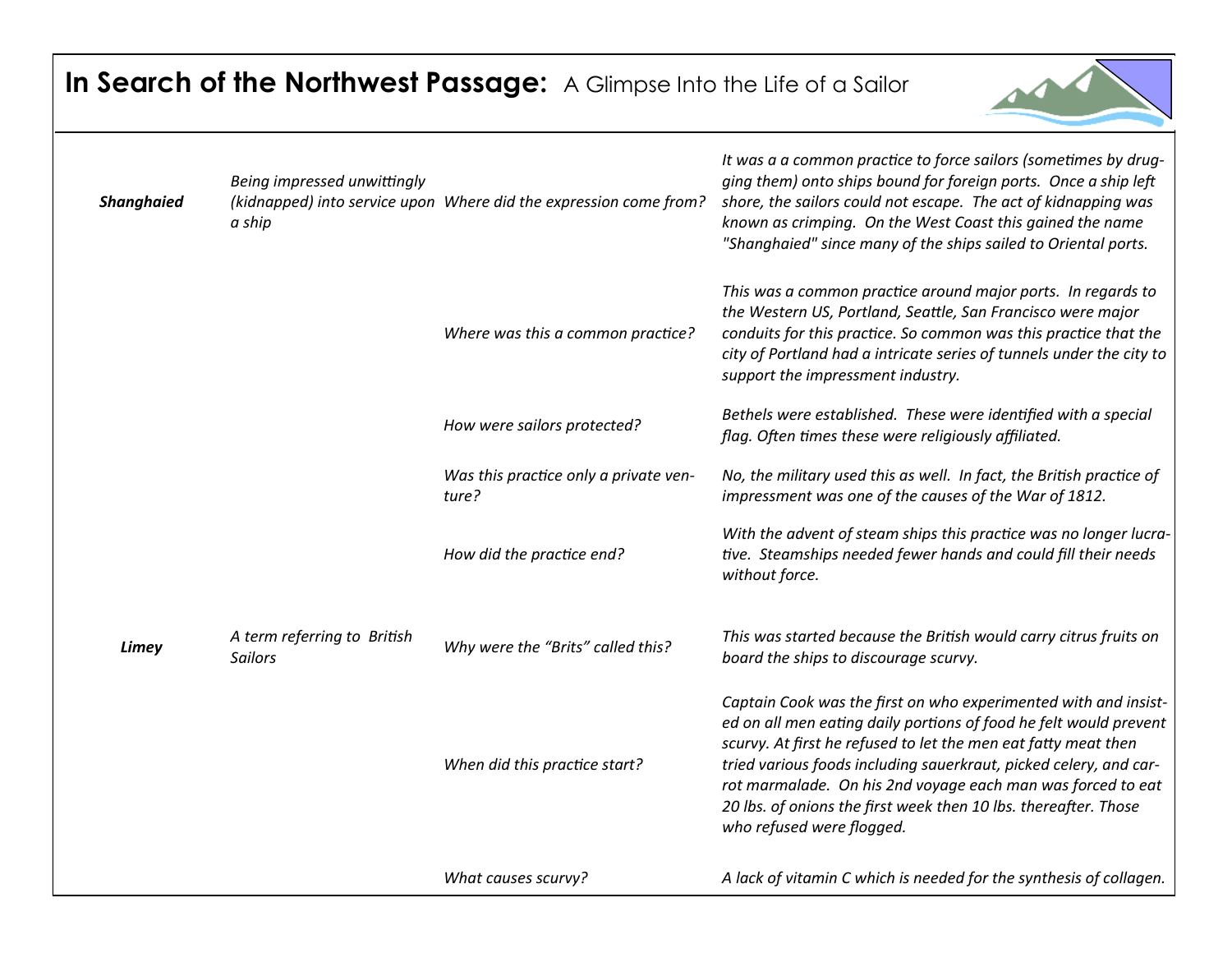

| <b>Shanghaied</b> | Being impressed unwittingly<br>a ship         | (kidnapped) into service upon Where did the expression come from? | It was a a common practice to force sailors (sometimes by drug-<br>ging them) onto ships bound for foreign ports. Once a ship left<br>shore, the sailors could not escape. The act of kidnapping was<br>known as crimping. On the West Coast this gained the name<br>"Shanghaied" since many of the ships sailed to Oriental ports.                                                                                                        |
|-------------------|-----------------------------------------------|-------------------------------------------------------------------|--------------------------------------------------------------------------------------------------------------------------------------------------------------------------------------------------------------------------------------------------------------------------------------------------------------------------------------------------------------------------------------------------------------------------------------------|
|                   |                                               | Where was this a common practice?                                 | This was a common practice around major ports. In regards to<br>the Western US, Portland, Seattle, San Francisco were major<br>conduits for this practice. So common was this practice that the<br>city of Portland had a intricate series of tunnels under the city to<br>support the impressment industry.                                                                                                                               |
|                   |                                               | How were sailors protected?                                       | Bethels were established. These were identified with a special<br>flag. Often times these were religiously affiliated.                                                                                                                                                                                                                                                                                                                     |
|                   |                                               | Was this practice only a private ven-<br>ture?                    | No, the military used this as well. In fact, the British practice of<br>impressment was one of the causes of the War of 1812.                                                                                                                                                                                                                                                                                                              |
|                   |                                               | How did the practice end?                                         | With the advent of steam ships this practice was no longer lucra-<br>tive. Steamships needed fewer hands and could fill their needs<br>without force.                                                                                                                                                                                                                                                                                      |
| Limey             | A term referring to British<br><b>Sailors</b> | Why were the "Brits" called this?                                 | This was started because the British would carry citrus fruits on<br>board the ships to discourage scurvy.                                                                                                                                                                                                                                                                                                                                 |
|                   |                                               | When did this practice start?                                     | Captain Cook was the first on who experimented with and insist-<br>ed on all men eating daily portions of food he felt would prevent<br>scurvy. At first he refused to let the men eat fatty meat then<br>tried various foods including sauerkraut, picked celery, and car-<br>rot marmalade. On his 2nd voyage each man was forced to eat<br>20 lbs. of onions the first week then 10 lbs. thereafter. Those<br>who refused were flogged. |
|                   |                                               | What causes scurvy?                                               | A lack of vitamin C which is needed for the synthesis of collagen.                                                                                                                                                                                                                                                                                                                                                                         |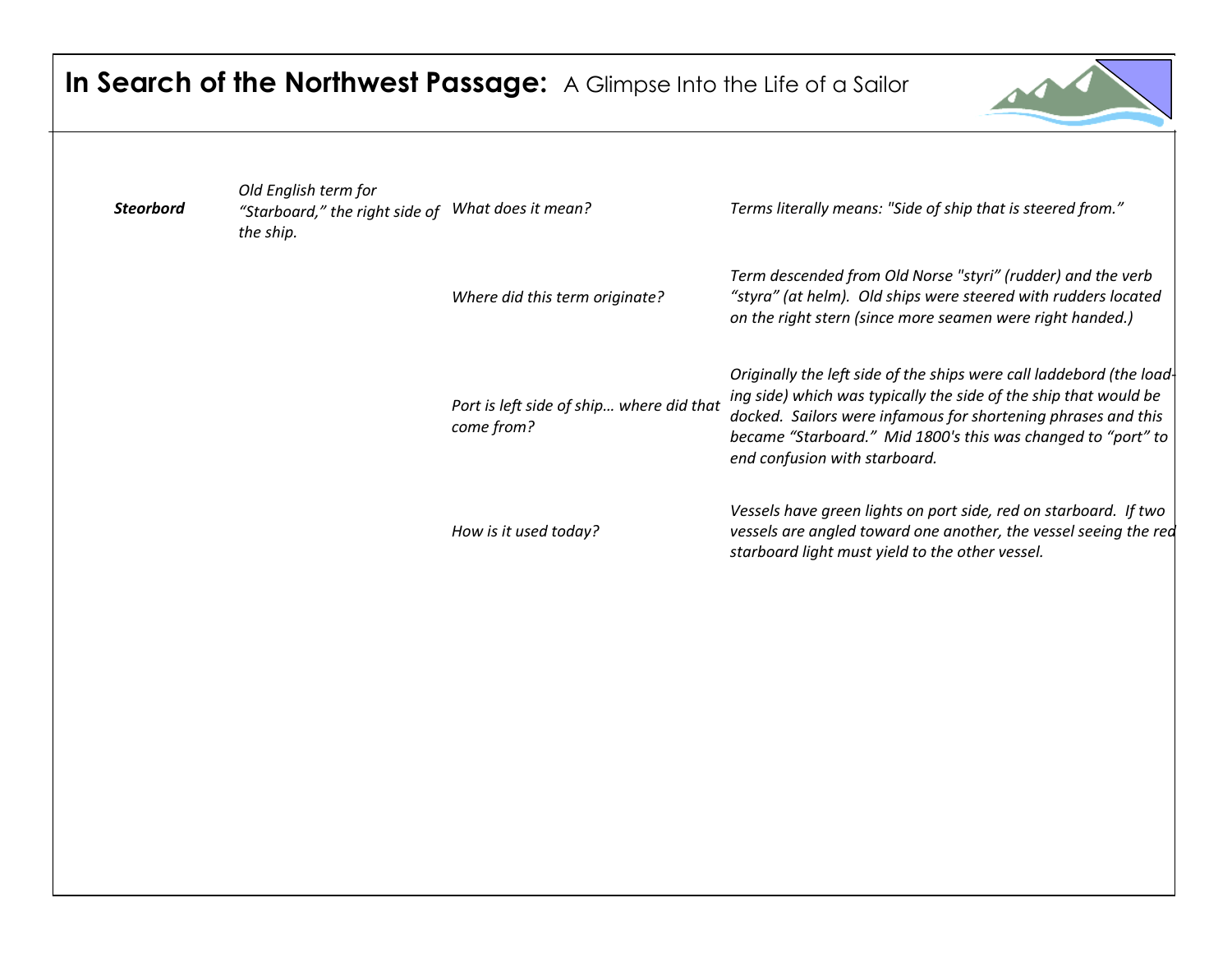| In Search of the Northwest Passage: A Glimpse Into the Life of a Sailor |  |
|-------------------------------------------------------------------------|--|
|-------------------------------------------------------------------------|--|



| <b>Steorbord</b> | Old English term for<br>"Starboard," the right side of<br>the ship. | What does it mean?                                     | Terms literally means: "Side of ship that is steered from."                                                                                                                                                                                                                                                |
|------------------|---------------------------------------------------------------------|--------------------------------------------------------|------------------------------------------------------------------------------------------------------------------------------------------------------------------------------------------------------------------------------------------------------------------------------------------------------------|
|                  |                                                                     | Where did this term originate?                         | Term descended from Old Norse "styri" (rudder) and the verb<br>"styra" (at helm). Old ships were steered with rudders located<br>on the right stern (since more seamen were right handed.)                                                                                                                 |
|                  |                                                                     | Port is left side of ship where did that<br>come from? | Originally the left side of the ships were call laddebord (the load-<br>ing side) which was typically the side of the ship that would be<br>docked. Sailors were infamous for shortening phrases and this<br>became "Starboard." Mid 1800's this was changed to "port" to<br>end confusion with starboard. |
|                  |                                                                     | How is it used today?                                  | Vessels have green lights on port side, red on starboard. If two<br>vessels are angled toward one another, the vessel seeing the red<br>starboard light must yield to the other vessel.                                                                                                                    |